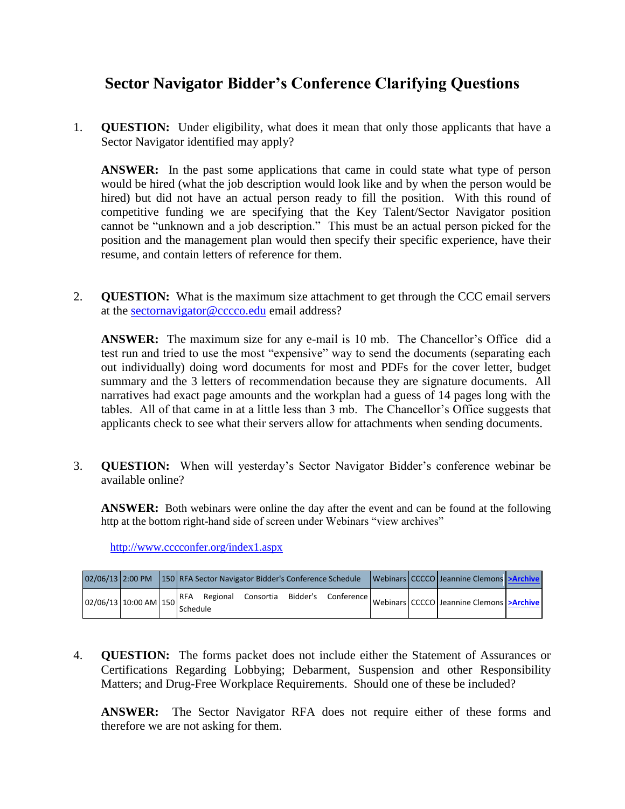## **Sector Navigator Bidder's Conference Clarifying Questions**

1. **QUESTION:** Under eligibility, what does it mean that only those applicants that have a Sector Navigator identified may apply?

**ANSWER:** In the past some applications that came in could state what type of person would be hired (what the job description would look like and by when the person would be hired) but did not have an actual person ready to fill the position. With this round of competitive funding we are specifying that the Key Talent/Sector Navigator position cannot be "unknown and a job description." This must be an actual person picked for the position and the management plan would then specify their specific experience, have their resume, and contain letters of reference for them.

2. **QUESTION:** What is the maximum size attachment to get through the CCC email servers at the [sectornavigator@cccco.edu](mailto:sectornavigator@cccco.edu) email address?

**ANSWER:** The maximum size for any e-mail is 10 mb. The Chancellor's Office did a test run and tried to use the most "expensive" way to send the documents (separating each out individually) doing word documents for most and PDFs for the cover letter, budget summary and the 3 letters of recommendation because they are signature documents. All narratives had exact page amounts and the workplan had a guess of 14 pages long with the tables. All of that came in at a little less than 3 mb. The Chancellor's Office suggests that applicants check to see what their servers allow for attachments when sending documents.

3. **QUESTION:** When will yesterday's Sector Navigator Bidder's conference webinar be available online?

**ANSWER:** Both webinars were online the day after the event and can be found at the following http at the bottom right-hand side of screen under Webinars "view archives"

<http://www.cccconfer.org/index1.aspx>

|                         |  |          |              |  | 02/06/13 2:00 PM 150 RFA Sector Navigator Bidder's Conference Schedule |  | Webinars CCCCO Jeannine Clemons > Archive                                                   |  |
|-------------------------|--|----------|--------------|--|------------------------------------------------------------------------|--|---------------------------------------------------------------------------------------------|--|
| $02/06/13$ 10:00 AM 150 |  | Schedule | RFA Regional |  |                                                                        |  | Consortia Bidder's Conference   Webinars   CCCCO   Jeannine Clemons   <b>&gt; Archive</b> ' |  |

4. **QUESTION:** The forms packet does not include either the Statement of Assurances or Certifications Regarding Lobbying; Debarment, Suspension and other Responsibility Matters; and Drug-Free Workplace Requirements. Should one of these be included?

**ANSWER:** The Sector Navigator RFA does not require either of these forms and therefore we are not asking for them.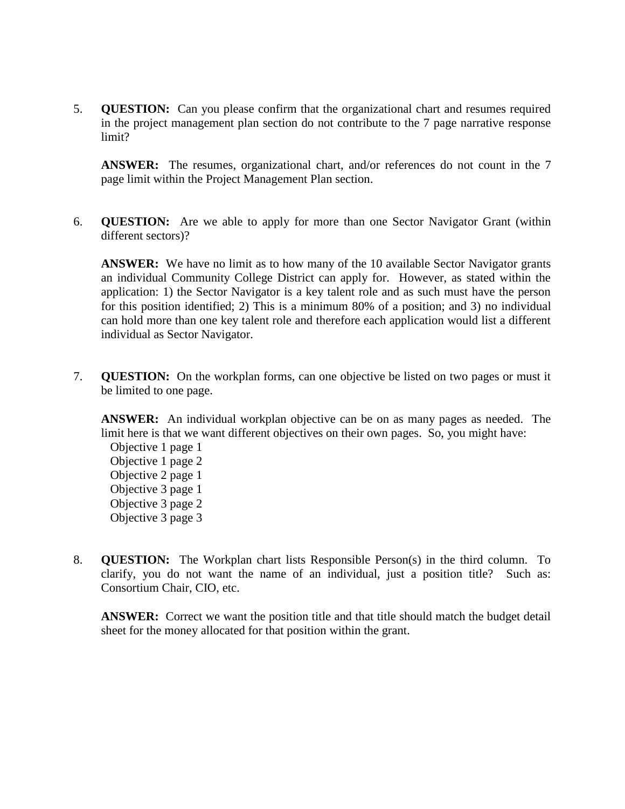5. **QUESTION:** Can you please confirm that the organizational chart and resumes required in the project management plan section do not contribute to the 7 page narrative response limit?

**ANSWER:** The resumes, organizational chart, and/or references do not count in the 7 page limit within the Project Management Plan section.

6. **QUESTION:** Are we able to apply for more than one Sector Navigator Grant (within different sectors)?

**ANSWER:** We have no limit as to how many of the 10 available Sector Navigator grants an individual Community College District can apply for. However, as stated within the application: 1) the Sector Navigator is a key talent role and as such must have the person for this position identified; 2) This is a minimum 80% of a position; and 3) no individual can hold more than one key talent role and therefore each application would list a different individual as Sector Navigator.

7. **QUESTION:** On the workplan forms, can one objective be listed on two pages or must it be limited to one page.

**ANSWER:** An individual workplan objective can be on as many pages as needed. The limit here is that we want different objectives on their own pages. So, you might have:

Objective 1 page 1 Objective 1 page 2 Objective 2 page 1 Objective 3 page 1 Objective 3 page 2 Objective 3 page 3

8. **QUESTION:** The Workplan chart lists Responsible Person(s) in the third column. To clarify, you do not want the name of an individual, just a position title? Such as: Consortium Chair, CIO, etc.

**ANSWER:** Correct we want the position title and that title should match the budget detail sheet for the money allocated for that position within the grant.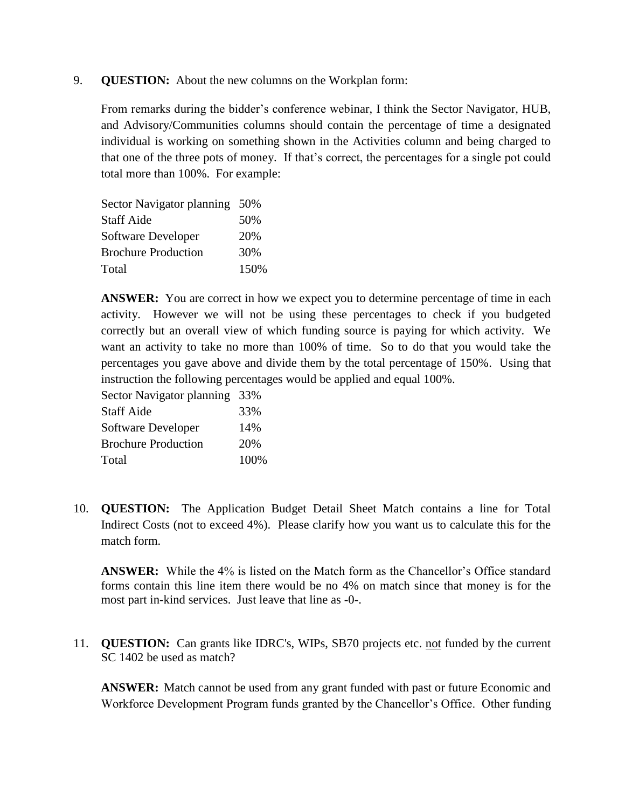## 9. **QUESTION:** About the new columns on the Workplan form:

From remarks during the bidder's conference webinar, I think the Sector Navigator, HUB, and Advisory/Communities columns should contain the percentage of time a designated individual is working on something shown in the Activities column and being charged to that one of the three pots of money. If that's correct, the percentages for a single pot could total more than 100%. For example:

| Sector Navigator planning 50% |      |
|-------------------------------|------|
| <b>Staff Aide</b>             | 50%  |
| Software Developer            | 20%  |
| <b>Brochure Production</b>    | 30%  |
| Total                         | 150% |

**ANSWER:** You are correct in how we expect you to determine percentage of time in each activity. However we will not be using these percentages to check if you budgeted correctly but an overall view of which funding source is paying for which activity. We want an activity to take no more than 100% of time. So to do that you would take the percentages you gave above and divide them by the total percentage of 150%. Using that instruction the following percentages would be applied and equal 100%.

| Sector Navigator planning 33% |     |
|-------------------------------|-----|
| <b>Staff Aide</b>             | 33% |
| Software Developer            | 14% |
| <b>Brochure Production</b>    | 20% |

Total 100%

10. **QUESTION:** The Application Budget Detail Sheet Match contains a line for Total Indirect Costs (not to exceed 4%). Please clarify how you want us to calculate this for the match form.

**ANSWER:** While the 4% is listed on the Match form as the Chancellor's Office standard forms contain this line item there would be no 4% on match since that money is for the most part in-kind services. Just leave that line as -0-.

11. **QUESTION:** Can grants like IDRC's, WIPs, SB70 projects etc. not funded by the current SC 1402 be used as match?

**ANSWER:** Match cannot be used from any grant funded with past or future Economic and Workforce Development Program funds granted by the Chancellor's Office. Other funding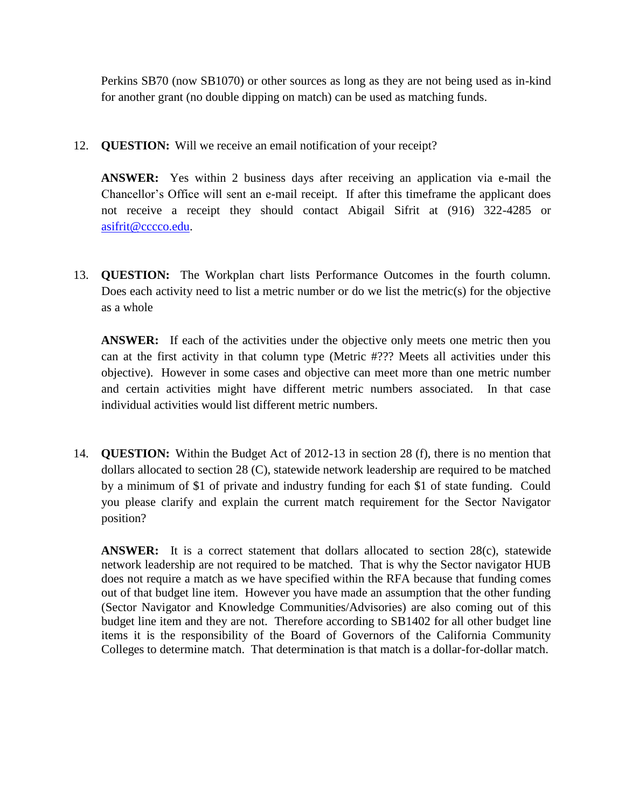Perkins SB70 (now SB1070) or other sources as long as they are not being used as in-kind for another grant (no double dipping on match) can be used as matching funds.

12. **QUESTION:** Will we receive an email notification of your receipt?

**ANSWER:** Yes within 2 business days after receiving an application via e-mail the Chancellor's Office will sent an e-mail receipt. If after this timeframe the applicant does not receive a receipt they should contact Abigail Sifrit at (916) 322-4285 or [asifrit@cccco.edu.](mailto:asifrit@cccco.edu)

13. **QUESTION:** The Workplan chart lists Performance Outcomes in the fourth column. Does each activity need to list a metric number or do we list the metric(s) for the objective as a whole

**ANSWER:** If each of the activities under the objective only meets one metric then you can at the first activity in that column type (Metric #??? Meets all activities under this objective). However in some cases and objective can meet more than one metric number and certain activities might have different metric numbers associated. In that case individual activities would list different metric numbers.

14. **QUESTION:** Within the Budget Act of 2012-13 in section 28 (f), there is no mention that dollars allocated to section 28 (C), statewide network leadership are required to be matched by a minimum of \$1 of private and industry funding for each \$1 of state funding. Could you please clarify and explain the current match requirement for the Sector Navigator position?

**ANSWER:** It is a correct statement that dollars allocated to section 28(c), statewide network leadership are not required to be matched. That is why the Sector navigator HUB does not require a match as we have specified within the RFA because that funding comes out of that budget line item. However you have made an assumption that the other funding (Sector Navigator and Knowledge Communities/Advisories) are also coming out of this budget line item and they are not. Therefore according to SB1402 for all other budget line items it is the responsibility of the Board of Governors of the California Community Colleges to determine match. That determination is that match is a dollar-for-dollar match.